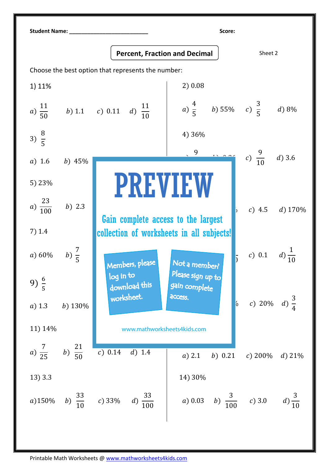| <b>Student Name:</b>                               |                    |                                                                                  | Score:                                        |                                |
|----------------------------------------------------|--------------------|----------------------------------------------------------------------------------|-----------------------------------------------|--------------------------------|
|                                                    |                    | <b>Percent, Fraction and Decimal</b>                                             |                                               | Sheet 2                        |
| Choose the best option that represents the number: |                    |                                                                                  |                                               |                                |
| 1) 11%                                             |                    |                                                                                  | 2) 0.08                                       |                                |
| $a) \frac{11}{50}$                                 |                    | b) 1.1 c) 0.11 d) $\frac{11}{10}$                                                | a) $\frac{4}{5}$ b) 55% c) $\frac{3}{5}$      | $d$ ) 8%                       |
| 3) $\frac{8}{5}$                                   |                    |                                                                                  | 4) 36%                                        |                                |
| $a)$ 1.6                                           | b) 45%             |                                                                                  |                                               | $c) \frac{9}{10}$<br>$d$ ) 3.6 |
| 5) 23%                                             |                    | <b>PREVIEW</b>                                                                   |                                               |                                |
| $a) \frac{23}{100}$                                | $b)$ 2.3           |                                                                                  |                                               | c) 4.5 d) $170\%$              |
| 7) 1.4                                             |                    | Gain complete access to the largest<br>collection of worksheets in all subjects! |                                               |                                |
| a) 60%                                             | b) $\frac{7}{5}$   | Members, please                                                                  | Not a member?                                 | c) 0.1                         |
| 9) $\frac{6}{5}$                                   |                    | log in to<br>download this                                                       | Please sign up to<br>gain complete<br>access. |                                |
| $a)$ 1.3                                           | $b)$ 130%          | worksheet.                                                                       | $\vert$ <sup>0</sup>                          | $d) \frac{3}{4}$<br>c) 20%     |
| 11) 14%                                            |                    | www.mathworksheets4kids.com                                                      |                                               |                                |
| a) $\frac{7}{25}$                                  | b) $\frac{21}{50}$ | c) 0.14<br>$d)$ 1.4                                                              | $a)$ 2.1<br>b) 0.21                           | $c) 200\%$<br>$d)$ 21%         |
| 13) 3.3                                            |                    |                                                                                  | 14) 30%                                       |                                |
| a)150%                                             |                    | $\frac{33}{100}$<br>b) $\frac{33}{10}$ c) 33%<br>(d)                             | b) $\frac{3}{100}$<br>a) 0.03                 | $d) \frac{3}{10}$<br>c) 3.0    |

Printable Math Worksheets @ www.mathworksheets4kids.com